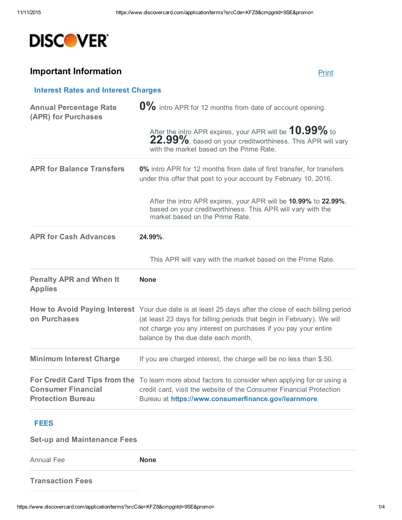

## **Important Information** [Print](javascript:window.print()) and Print and Print and Print and Print and Print and Print and Print and Print and Print and Print and Print and Print and Print and Print and Print and Print and Print and Print and Print an

| <b>Interest Rates and Interest Charges</b>            |                                                                                                                                                                                                                                                                                           |
|-------------------------------------------------------|-------------------------------------------------------------------------------------------------------------------------------------------------------------------------------------------------------------------------------------------------------------------------------------------|
| <b>Annual Percentage Rate</b><br>(APR) for Purchases  | 0% intro APR for 12 months from date of account opening.                                                                                                                                                                                                                                  |
|                                                       | After the intro APR expires, your APR will be 10.99% to<br>22.99%, based on your creditworthiness. This APR will vary<br>with the market based on the Prime Rate.                                                                                                                         |
| <b>APR for Balance Transfers</b>                      | 0% intro APR for 12 months from date of first transfer, for transfers<br>under this offer that post to your account by February 10, 2016.                                                                                                                                                 |
|                                                       | After the intro APR expires, your APR will be 10.99% to 22.99%,<br>based on your creditworthiness. This APR will vary with the<br>market based on the Prime Rate.                                                                                                                         |
| <b>APR for Cash Advances</b>                          | 24.99%.                                                                                                                                                                                                                                                                                   |
|                                                       | This APR will vary with the market based on the Prime Rate.                                                                                                                                                                                                                               |
| <b>Penalty APR and When It</b><br><b>Applies</b>      | <b>None</b>                                                                                                                                                                                                                                                                               |
| on Purchases                                          | How to Avoid Paying Interest Your due date is at least 25 days after the close of each billing period<br>(at least 23 days for billing periods that begin in February). We will<br>not charge you any interest on purchases if you pay your entire<br>balance by the due date each month. |
| <b>Minimum Interest Charge</b>                        | If you are charged interest, the charge will be no less than \$.50.                                                                                                                                                                                                                       |
| <b>Consumer Financial</b><br><b>Protection Bureau</b> | For Credit Card Tips from the To learn more about factors to consider when applying for or using a<br>credit card, visit the website of the Consumer Financial Protection<br>Bureau at https://www.consumerfinance.gov/learnmore.                                                         |
|                                                       |                                                                                                                                                                                                                                                                                           |

## FEES

**Set-up and Maintenance Fees** 

Annual Fee None

Transaction Fees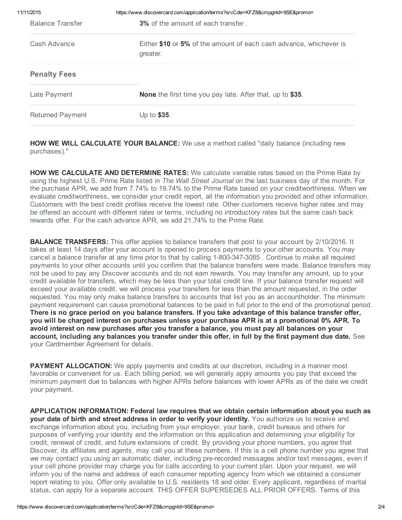| 11/11/2015              | https://www.discovercard.com/application/terms?srcCde=KFZ8&cmpgnId=9SE&promo=  |
|-------------------------|--------------------------------------------------------------------------------|
| <b>Balance Transfer</b> | <b>3%</b> of the amount of each transfer.                                      |
| Cash Advance            | Either \$10 or 5% of the amount of each cash advance, whichever is<br>greater. |
| <b>Penalty Fees</b>     |                                                                                |
| Late Payment            | <b>None</b> the first time you pay late. After that, up to \$35.               |
| <b>Returned Payment</b> | Up to \$35.                                                                    |
|                         |                                                                                |

**HOW WE WILL CALCULATE YOUR BALANCE:** We use a method called "daily balance (including new purchases)."

HOW WE CALCULATE AND DETERMINE RATES: We calculate variable rates based on the Prime Rate by using the highest U.S. Prime Rate listed in *The Wall Street Journal* on the last business day of the month. For the purchase APR, we add from 7.74% to 19.74% to the Prime Rate based on your creditworthiness. When we evaluate creditworthiness, we consider your credit report, all the information you provided and other information. Customers with the best credit profiles receive the lowest rate. Other customers receive higher rates and may be offered an account with different rates or terms, including no introductory rates but the same cash back rewards offer. For the cash advance APR, we add 21.74% to the Prime Rate.

**BALANCE TRANSFERS:** This offer applies to balance transfers that post to your account by 2/10/2016. It takes at least 14 days after your account is opened to process payments to your other accounts. You may cancel a balance transfer at any time prior to that by calling 1-800-347-3085. Continue to make all required payments to your other accounts until you confirm that the balance transfers were made. Balance transfers may not be used to pay any Discover accounts and do not earn rewards. You may transfer any amount, up to your credit available for transfers, which may be less than your total credit line. If your balance transfer request will exceed your available credit, we will process your transfers for less than the amount requested, in the order requested. You may only make balance transfers to accounts that list you as an accountholder. The minimum payment requirement can cause promotional balances to be paid in full prior to the end of the promotional period. There is no grace period on you balance transfers. If you take advantage of this balance transfer offer, you will be charged interest on purchases unless your purchase APR is at a promotional 0% APR. To avoid interest on new purchases after you transfer a balance, you must pay all balances on your account, including any balances you transfer under this offer, in full by the first payment due date. See your Cardmember Agreement for details.

**PAYMENT ALLOCATION:** We apply payments and credits at our discretion, including in a manner most favorable or convenient for us. Each billing period, we will generally apply amounts you pay that exceed the minimum payment due to balances with higher APRs before balances with lower APRs as of the date we credit your payment.

APPLICATION INFORMATION: Federal law requires that we obtain certain information about you such as your date of birth and street address in order to verify your identity. You authorize us to receive and exchange information about you, including from your employer, your bank, credit bureaus and others for purposes of verifying your identity and the information on this application and determining your eligibility for credit, renewal of credit, and future extensions of credit. By providing your phone numbers, you agree that Discover, its affiliates and agents, may call you at these numbers. If this is a cell phone number you agree that we may contact you using an automatic dialer, including pre-recorded messages and/or text messages, even if your cell phone provider may charge you for calls according to your current plan. Upon your request, we will inform you of the name and address of each consumer reporting agency from which we obtained a consumer report relating to you. Offer only available to U.S. residents 18 and older. Every applicant, regardless of marital status, can apply for a separate account. THIS OFFER SUPERSEDES ALL PRIOR OFFERS. Terms of this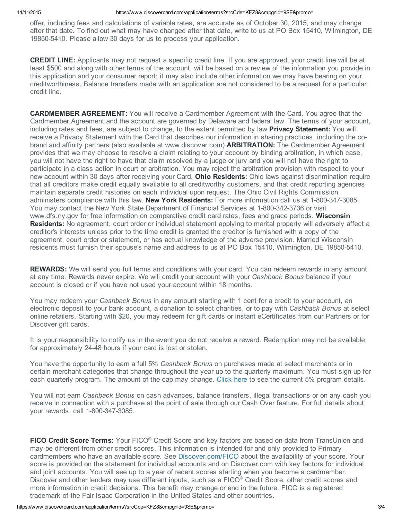offer, including fees and calculations of variable rates, are accurate as of October 30, 2015, and may change after that date. To find out what may have changed after that date, write to us at PO Box 15410, Wilmington, DE 19850-5410. Please allow 30 days for us to process your application.

CREDIT LINE: Applicants may not request a specific credit line. If you are approved, your credit line will be at least \$500 and along with other terms of the account, will be based on a review of the information you provide in this application and your consumer report; it may also include other information we may have bearing on your creditworthiness. Balance transfers made with an application are not considered to be a request for a particular credit line.

CARDMEMBER AGREEMENT: You will receive a Cardmember Agreement with the Card. You agree that the Cardmember Agreement and the account are governed by Delaware and federal law. The terms of your account, including rates and fees, are subject to change, to the extent permitted by law. **Privacy Statement:** You will receive a Privacy Statement with the Card that describes our information in sharing practices, including the cobrand and affinity partners (also available at www.discover.com) **ARBITRATION:** The Cardmember Agreement provides that we may choose to resolve a claim relating to your account by binding arbitration, in which case, you will not have the right to have that claim resolved by a judge or jury and you will not have the right to participate in a class action in court or arbitration. You may reject the arbitration provision with respect to your new account within 30 days after receiving your Card. **Ohio Residents:** Ohio laws against discrimination require that all creditors make credit equally available to all creditworthy customers, and that credit reporting agencies maintain separate credit histories on each individual upon request. The Ohio Civil Rights Commission administers compliance with this law. New York Residents: For more information call us at 1-800-347-3085. You may contact the New York State Department of Financial Services at 1-800-342-3736 or visit www.dfs.ny.gov for free information on comparative credit card rates, fees and grace periods. Wisconsin Residents: No agreement, court order or individual statement applying to marital property will adversely affect a creditor's interests unless prior to the time credit is granted the creditor is furnished with a copy of the agreement, court order or statement, or has actual knowledge of the adverse provision. Married Wisconsin residents must furnish their spouse's name and address to us at PO Box 15410, Wilmington, DE 19850-5410.

**REWARDS:** We will send you full terms and conditions with your card. You can redeem rewards in any amount at any time. Rewards never expire. We will credit your account with your *Cashback Bonus* balance if your account is closed or if you have not used your account within 18 months.

You may redeem your *Cashback Bonus* in any amount starting with 1 cent for a credit to your account, an electronic deposit to your bank account, a donation to select charities, or to pay with *Cashback Bonus* at select online retailers. Starting with \$20, you may redeem for gift cards or instant eCertificates from our Partners or for Discover gift cards.

It is your responsibility to notify us in the event you do not receive a reward. Redemption may not be available for approximately 24-48 hours if your card is lost or stolen.

You have the opportunity to earn a full 5% *Cashback Bonus* on purchases made at select merchants or in certain merchant categories that change throughout the year up to the quarterly maximum. You must sign up for each quarterly program. The amount of the cap may change. Click here to see the current 5% program details.

You will not earn *Cashback Bonus* on cash advances, balance transfers, illegal transactions or on any cash you receive in connection with a purchase at the point of sale through our Cash Over feature. For full details about your rewards, call 1-800-347-3085.

FICO Credit Score Terms: Your FICO<sup>®</sup> Credit Score and key factors are based on data from TransUnion and may be different from other credit scores. This information is intended for and only provided to Primary cardmembers who have an available score. See [Discover.com/FICO](https://www.discover.com/FICO) about the availability of your score. Your score is provided on the statement for individual accounts and on Discover.com with key factors for individual and joint accounts. You will see up to a year of recent scores starting when you become a cardmember. Discover and other lenders may use different inputs, such as a FICO<sup>®</sup> Credit Score, other credit scores and more information in credit decisions. This benefit may change or end in the future. FICO is a registered trademark of the Fair Isaac Corporation in the United States and other countries.